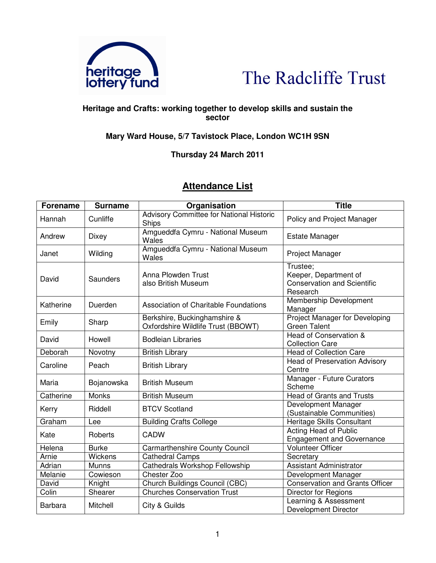



## **Heritage and Crafts: working together to develop skills and sustain the sector**

## **Mary Ward House, 5/7 Tavistock Place, London WC1H 9SN**

## **Thursday 24 March 2011**

## **Attendance List**

| <b>Forename</b> | <b>Surname</b> | Organisation                                                       | <b>Title</b>                                                                        |
|-----------------|----------------|--------------------------------------------------------------------|-------------------------------------------------------------------------------------|
| Hannah          | Cunliffe       | <b>Advisory Committee for National Historic</b><br>Ships           | Policy and Project Manager                                                          |
| Andrew          | Dixey          | Amgueddfa Cymru - National Museum<br>Wales                         | <b>Estate Manager</b>                                                               |
| Janet           | Wilding        | Amgueddfa Cymru - National Museum<br>Wales                         | Project Manager                                                                     |
| David           | Saunders       | Anna Plowden Trust<br>also British Museum                          | Trustee;<br>Keeper, Department of<br><b>Conservation and Scientific</b><br>Research |
| Katherine       | Duerden        | Association of Charitable Foundations                              | Membership Development<br>Manager                                                   |
| Emily           | Sharp          | Berkshire, Buckinghamshire &<br>Oxfordshire Wildlife Trust (BBOWT) | Project Manager for Developing<br><b>Green Talent</b>                               |
| David           | Howell         | <b>Bodleian Libraries</b>                                          | Head of Conservation &<br><b>Collection Care</b>                                    |
| Deborah         | Novotny        | <b>British Library</b>                                             | <b>Head of Collection Care</b>                                                      |
| Caroline        | Peach          | <b>British Library</b>                                             | <b>Head of Preservation Advisory</b><br>Centre                                      |
| Maria           | Bojanowska     | <b>British Museum</b>                                              | Manager - Future Curators<br>Scheme                                                 |
| Catherine       | <b>Monks</b>   | <b>British Museum</b>                                              | <b>Head of Grants and Trusts</b>                                                    |
| Kerry           | Riddell        | <b>BTCV Scotland</b>                                               | Development Manager<br>(Sustainable Communities)                                    |
| Graham          | Lee            | <b>Building Crafts College</b>                                     | Heritage Skills Consultant                                                          |
| Kate            | Roberts        | <b>CADW</b>                                                        | Acting Head of Public<br><b>Engagement and Governance</b>                           |
| Helena          | <b>Burke</b>   | Carmarthenshire County Council                                     | <b>Volunteer Officer</b>                                                            |
| Arnie           | Wickens        | <b>Cathedral Camps</b>                                             | Secretary                                                                           |
| Adrian          | <b>Munns</b>   | <b>Cathedrals Workshop Fellowship</b>                              | <b>Assistant Administrator</b>                                                      |
| Melanie         | Cowieson       | Chester Zoo                                                        | Development Manager                                                                 |
| David           | Knight         | Church Buildings Council (CBC)                                     | <b>Conservation and Grants Officer</b>                                              |
| Colin           | Shearer        | <b>Churches Conservation Trust</b>                                 | Director for Regions                                                                |
| <b>Barbara</b>  | Mitchell       | City & Guilds                                                      | Learning & Assessment<br><b>Development Director</b>                                |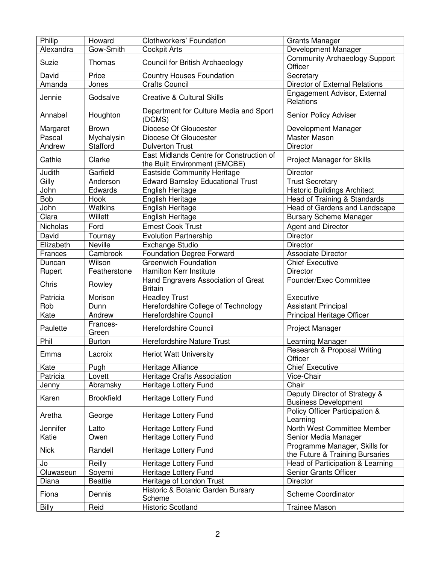| Philip          | Howard            | Clothworkers' Foundation                                                  | <b>Grants Manager</b>                                            |
|-----------------|-------------------|---------------------------------------------------------------------------|------------------------------------------------------------------|
| Alexandra       | Gow-Smith         | <b>Cockpit Arts</b>                                                       | Development Manager                                              |
| Suzie           | Thomas            | Council for British Archaeology                                           | <b>Community Archaeology Support</b><br>Officer                  |
| David           | Price             | <b>Country Houses Foundation</b>                                          | Secretary                                                        |
| Amanda          | Jones             | <b>Crafts Council</b>                                                     | <b>Director of External Relations</b>                            |
| Jennie          | Godsalve          | <b>Creative &amp; Cultural Skills</b>                                     | Engagement Advisor, External<br>Relations                        |
| Annabel         | Houghton          | Department for Culture Media and Sport<br>(DCMS)                          | Senior Policy Adviser                                            |
| Margaret        | <b>Brown</b>      | Diocese Of Gloucester                                                     | Development Manager                                              |
| Pascal          | Mychalysin        | Diocese Of Gloucester                                                     | Master Mason                                                     |
| Andrew          | Stafford          | <b>Dulverton Trust</b>                                                    | Director                                                         |
| Cathie          | Clarke            | East Midlands Centre for Construction of<br>the Built Environment (EMCBE) | <b>Project Manager for Skills</b>                                |
| Judith          | Garfield          | <b>Eastside Community Heritage</b>                                        | Director                                                         |
| Gilly           | Anderson          | <b>Edward Barnsley Educational Trust</b>                                  | <b>Trust Secretary</b>                                           |
| John            | Edwards           | <b>English Heritage</b>                                                   | <b>Historic Buildings Architect</b>                              |
| Bob             | Hook              | English Heritage                                                          | Head of Training & Standards                                     |
| John            | <b>Watkins</b>    | English Heritage                                                          | Head of Gardens and Landscape                                    |
| Clara           | Willett           | English Heritage                                                          | <b>Bursary Scheme Manager</b>                                    |
| <b>Nicholas</b> | Ford              | <b>Ernest Cook Trust</b>                                                  | <b>Agent and Director</b>                                        |
| David           | Tournay           | <b>Evolution Partnership</b>                                              | Director                                                         |
| Elizabeth       | <b>Neville</b>    | <b>Exchange Studio</b>                                                    | Director                                                         |
| Frances         | Cambrook          | <b>Foundation Degree Forward</b>                                          | <b>Associate Director</b>                                        |
| Duncan          | Wilson            | <b>Greenwich Foundation</b>                                               | Chief Executive                                                  |
| Rupert          | Featherstone      | Hamilton Kerr Institute                                                   | Director                                                         |
| Chris           | Rowley            | Hand Engravers Association of Great<br><b>Britain</b>                     | Founder/Exec Committee                                           |
| Patricia        | Morison           | <b>Headley Trust</b>                                                      | Executive                                                        |
| Rob             | Dunn              | Herefordshire College of Technology                                       | <b>Assistant Principal</b>                                       |
| Kate            | Andrew            | Herefordshire Council                                                     | Principal Heritage Officer                                       |
| Paulette        | Frances-<br>Green | Herefordshire Council                                                     | Project Manager                                                  |
| Phil            | <b>Burton</b>     | Herefordshire Nature Trust                                                | Learning Manager                                                 |
| Emma            | Lacroix           | <b>Heriot Watt University</b>                                             | Research & Proposal Writing<br>Officer                           |
| Kate            | Pugh              | Heritage Alliance                                                         | <b>Chief Executive</b>                                           |
| Patricia        | Lovett            | Heritage Crafts Association                                               | Vice-Chair                                                       |
| Jenny           | Abramsky          | Heritage Lottery Fund                                                     | Chair                                                            |
| Karen           | <b>Brookfield</b> | Heritage Lottery Fund                                                     | Deputy Director of Strategy &<br><b>Business Development</b>     |
| Aretha          | George            | Heritage Lottery Fund                                                     | Policy Officer Participation &<br>Learning                       |
| Jennifer        | Latto             | Heritage Lottery Fund                                                     | North West Committee Member                                      |
| Katie           | Owen              | Heritage Lottery Fund                                                     | Senior Media Manager                                             |
| <b>Nick</b>     | Randell           | Heritage Lottery Fund                                                     | Programme Manager, Skills for<br>the Future & Training Bursaries |
| Jo              | Reilly            | Heritage Lottery Fund                                                     | Head of Participation & Learning                                 |
| Oluwaseun       | Soyemi            | Heritage Lottery Fund                                                     | Senior Grants Officer                                            |
| Diana           | <b>Beattie</b>    | Heritage of London Trust                                                  | Director                                                         |
| Fiona           | Dennis            | Historic & Botanic Garden Bursary<br>Scheme                               | <b>Scheme Coordinator</b>                                        |
| Billy           | Reid              | <b>Historic Scotland</b>                                                  | <b>Trainee Mason</b>                                             |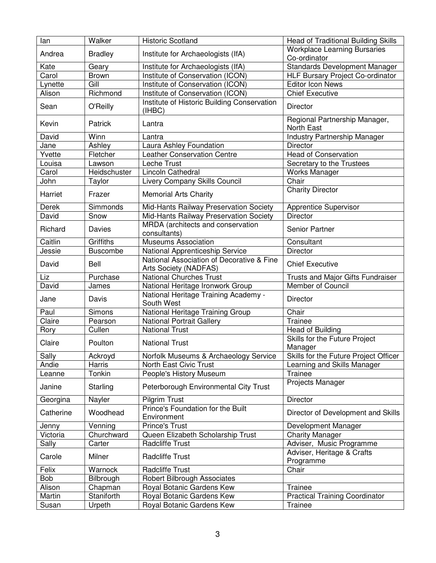| lan                   | Walker                | <b>Historic Scotland</b>                                           | <b>Head of Traditional Building Skills</b>             |
|-----------------------|-----------------------|--------------------------------------------------------------------|--------------------------------------------------------|
| Andrea                | <b>Bradley</b>        | Institute for Archaeologists (IfA)                                 | <b>Workplace Learning Bursaries</b>                    |
|                       |                       |                                                                    | Co-ordinator                                           |
| Kate                  | Geary                 | Institute for Archaeologists (IfA)                                 | <b>Standards Development Manager</b>                   |
| Carol                 | <b>Brown</b>          | Institute of Conservation (ICON)                                   | HLF Bursary Project Co-ordinator                       |
| Lynette               | Gill                  | Institute of Conservation (ICON)                                   | Editor Icon News                                       |
| Alison                | Richmond              | Institute of Conservation (ICON)                                   | <b>Chief Executive</b>                                 |
| Sean                  | O'Reilly              | Institute of Historic Building Conservation<br>(IHBC)              | <b>Director</b>                                        |
| Kevin                 | Patrick               | Lantra                                                             | Regional Partnership Manager,<br>North East            |
| David                 | Winn                  | Lantra                                                             | Industry Partnership Manager                           |
| Jane                  | Ashley                | Laura Ashley Foundation                                            | Director                                               |
| Yvette                | Fletcher              | <b>Leather Conservation Centre</b>                                 | <b>Head of Conservation</b>                            |
| Louisa                | Lawson                | Leche Trust                                                        | Secretary to the Trustees                              |
| Carol                 | Heidschuster          | Lincoln Cathedral                                                  | <b>Works Manager</b>                                   |
| John                  | Taylor                | Livery Company Skills Council                                      | Chair                                                  |
| Harriet               | Frazer                | <b>Memorial Arts Charity</b>                                       | <b>Charity Director</b>                                |
| Derek                 | Simmonds              | Mid-Hants Railway Preservation Society                             | <b>Apprentice Supervisor</b>                           |
| David                 | Snow                  | Mid-Hants Railway Preservation Society                             | <b>Director</b>                                        |
|                       |                       | MRDA (architects and conservation                                  |                                                        |
| Richard               | Davies                | consultants)                                                       | Senior Partner                                         |
| Caitlin               | Griffiths             | <b>Museums Association</b>                                         | Consultant                                             |
| Jessie                | <b>Buscombe</b>       | National Apprenticeship Service                                    | <b>Director</b>                                        |
| David                 | Bell                  | National Association of Decorative & Fine<br>Arts Society (NADFAS) | <b>Chief Executive</b>                                 |
|                       |                       |                                                                    |                                                        |
| Liz                   | Purchase              | National Churches Trust                                            | Trusts and Major Gifts Fundraiser                      |
| David                 | James                 | National Heritage Ironwork Group                                   | <b>Member of Council</b>                               |
| Jane                  | Davis                 | National Heritage Training Academy -<br>South West                 | Director                                               |
| Paul                  | Simons                | National Heritage Training Group                                   | Chair                                                  |
| Claire                | Pearson               | <b>National Portrait Gallery</b>                                   | Trainee                                                |
| Rory                  | Cullen                | <b>National Trust</b>                                              | Head of Building                                       |
| Claire                | Poulton               | <b>National Trust</b>                                              | Skills for the Future Project                          |
|                       | Ackroyd               |                                                                    | Manager                                                |
| Sally<br>Andie        | Harris                | Norfolk Museums & Archaeology Service<br>North East Civic Trust    | Skills for the Future Project Officer                  |
| Leanne                | Tonkin                |                                                                    | Learning and Skills Manager<br><b>Trainee</b>          |
| Janine                | Starling              | People's History Museum<br>Peterborough Environmental City Trust   | Projects Manager                                       |
|                       |                       |                                                                    |                                                        |
| Georgina<br>Catherine | Nayler<br>Woodhead    | <b>Pilgrim Trust</b><br>Prince's Foundation for the Built          | Director<br>Director of Development and Skills         |
|                       |                       | Environment                                                        |                                                        |
| Jenny<br>Victoria     | Venning<br>Churchward | <b>Prince's Trust</b>                                              | Development Manager                                    |
|                       | Carter                | Queen Elizabeth Scholarship Trust<br><b>Radcliffe Trust</b>        | <b>Charity Manager</b>                                 |
| Sally<br>Carole       | Milner                | <b>Radcliffe Trust</b>                                             | Adviser, Music Programme<br>Adviser, Heritage & Crafts |
|                       |                       |                                                                    | Programme                                              |
| Felix                 | Warnock               | <b>Radcliffe Trust</b>                                             | Chair                                                  |
| Bob                   | Bilbrough             | Robert Bilbrough Associates                                        |                                                        |
| Alison                | Chapman               | Royal Botanic Gardens Kew                                          | Trainee                                                |
| Martin<br>Susan       | Staniforth<br>Urpeth  | Royal Botanic Gardens Kew<br>Royal Botanic Gardens Kew             | <b>Practical Training Coordinator</b><br>Trainee       |